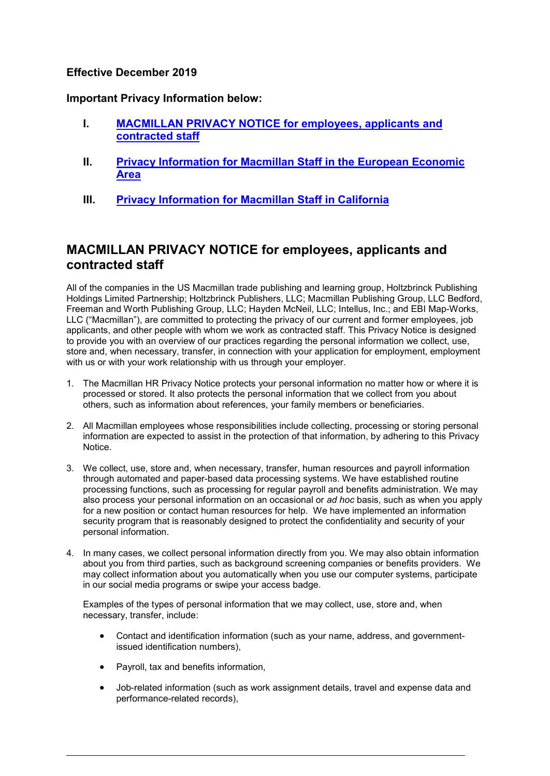### **Effective December 2019**

**Important Privacy Information below:**

- **I. [MACMILLAN PRIVACY NOTICE](#page-0-0) for employees, applicants and [contracted staff](#page-0-0)**
- **II. [Privacy Information for Macmillan Staff in the European Economic](#page-3-0)  [Area](#page-3-0)**
- **III. [Privacy Information for Macmillan Staff in California](#page-5-0)**

# <span id="page-0-0"></span>**MACMILLAN PRIVACY NOTICE for employees, applicants and contracted staff**

All of the companies in the US Macmillan trade publishing and learning group, Holtzbrinck Publishing Holdings Limited Partnership; Holtzbrinck Publishers, LLC; Macmillan Publishing Group, LLC Bedford, Freeman and Worth Publishing Group, LLC; Hayden McNeil, LLC; Intellus, Inc.; and EBI Map-Works, LLC ("Macmillan"), are committed to protecting the privacy of our current and former employees, job applicants, and other people with whom we work as contracted staff. This Privacy Notice is designed to provide you with an overview of our practices regarding the personal information we collect, use, store and, when necessary, transfer, in connection with your application for employment, employment with us or with your work relationship with us through your employer.

- 1. The Macmillan HR Privacy Notice protects your personal information no matter how or where it is processed or stored. It also protects the personal information that we collect from you about others, such as information about references, your family members or beneficiaries.
- 2. All Macmillan employees whose responsibilities include collecting, processing or storing personal information are expected to assist in the protection of that information, by adhering to this Privacy Notice.
- 3. We collect, use, store and, when necessary, transfer, human resources and payroll information through automated and paper-based data processing systems. We have established routine processing functions, such as processing for regular payroll and benefits administration. We may also process your personal information on an occasional or *ad hoc* basis, such as when you apply for a new position or contact human resources for help. We have implemented an information security program that is reasonably designed to protect the confidentiality and security of your personal information.
- 4. In many cases, we collect personal information directly from you. We may also obtain information about you from third parties, such as background screening companies or benefits providers. We may collect information about you automatically when you use our computer systems, participate in our social media programs or swipe your access badge.

Examples of the types of personal information that we may collect, use, store and, when necessary, transfer, include:

- Contact and identification information (such as your name, address, and governmentissued identification numbers),
- Payroll, tax and benefits information,
- Job-related information (such as work assignment details, travel and expense data and performance-related records),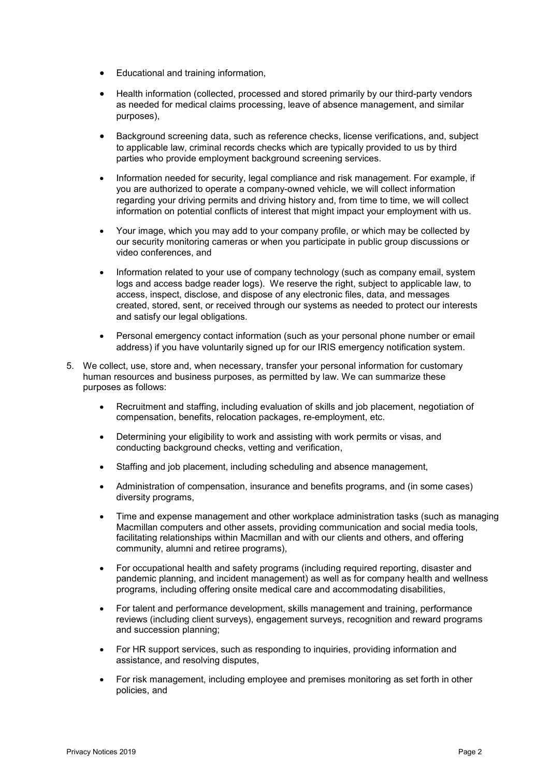- Educational and training information,
- Health information (collected, processed and stored primarily by our third-party vendors as needed for medical claims processing, leave of absence management, and similar purposes),
- Background screening data, such as reference checks, license verifications, and, subject to applicable law, criminal records checks which are typically provided to us by third parties who provide employment background screening services.
- Information needed for security, legal compliance and risk management. For example, if you are authorized to operate a company-owned vehicle, we will collect information regarding your driving permits and driving history and, from time to time, we will collect information on potential conflicts of interest that might impact your employment with us.
- Your image, which you may add to your company profile, or which may be collected by our security monitoring cameras or when you participate in public group discussions or video conferences, and
- Information related to your use of company technology (such as company email, system logs and access badge reader logs). We reserve the right, subject to applicable law, to access, inspect, disclose, and dispose of any electronic files, data, and messages created, stored, sent, or received through our systems as needed to protect our interests and satisfy our legal obligations.
- Personal emergency contact information (such as your personal phone number or email address) if you have voluntarily signed up for our IRIS emergency notification system.
- 5. We collect, use, store and, when necessary, transfer your personal information for customary human resources and business purposes, as permitted by law. We can summarize these purposes as follows:
	- Recruitment and staffing, including evaluation of skills and job placement, negotiation of compensation, benefits, relocation packages, re-employment, etc.
	- Determining your eligibility to work and assisting with work permits or visas, and conducting background checks, vetting and verification,
	- Staffing and job placement, including scheduling and absence management,
	- Administration of compensation, insurance and benefits programs, and (in some cases) diversity programs,
	- Time and expense management and other workplace administration tasks (such as managing Macmillan computers and other assets, providing communication and social media tools, facilitating relationships within Macmillan and with our clients and others, and offering community, alumni and retiree programs),
	- For occupational health and safety programs (including required reporting, disaster and pandemic planning, and incident management) as well as for company health and wellness programs, including offering onsite medical care and accommodating disabilities,
	- For talent and performance development, skills management and training, performance reviews (including client surveys), engagement surveys, recognition and reward programs and succession planning;
	- For HR support services, such as responding to inquiries, providing information and assistance, and resolving disputes,
	- For risk management, including employee and premises monitoring as set forth in other policies, and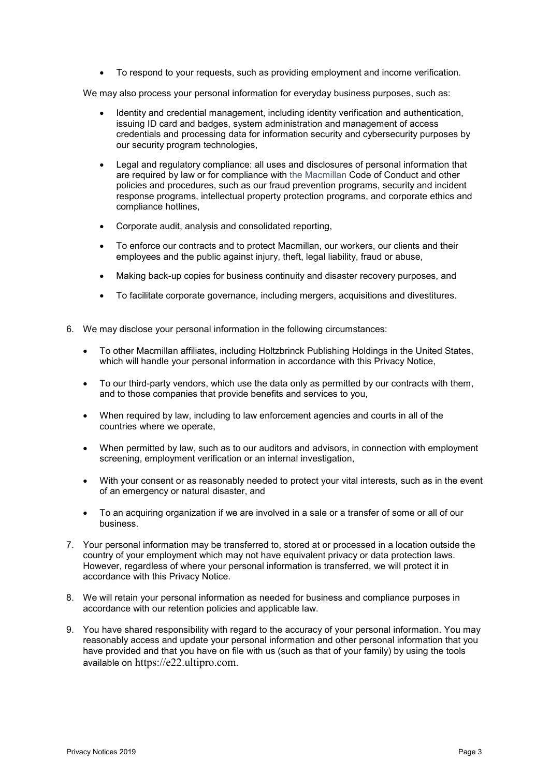• To respond to your requests, such as providing employment and income verification.

We may also process your personal information for everyday business purposes, such as:

- Identity and credential management, including identity verification and authentication, issuing ID card and badges, system administration and management of access credentials and processing data for information security and cybersecurity purposes by our security program technologies,
- Legal and regulatory compliance: all uses and disclosures of personal information that are required by law or for compliance with the Macmillan Code of Conduct and other policies and procedures, such as our fraud prevention programs, security and incident response programs, intellectual property protection programs, and corporate ethics and compliance hotlines,
- Corporate audit, analysis and consolidated reporting,
- To enforce our contracts and to protect Macmillan, our workers, our clients and their employees and the public against injury, theft, legal liability, fraud or abuse,
- Making back-up copies for business continuity and disaster recovery purposes, and
- To facilitate corporate governance, including mergers, acquisitions and divestitures.
- 6. We may disclose your personal information in the following circumstances:
	- To other Macmillan affiliates, including Holtzbrinck Publishing Holdings in the United States, which will handle your personal information in accordance with this Privacy Notice,
	- To our third-party vendors, which use the data only as permitted by our contracts with them, and to those companies that provide benefits and services to you,
	- When required by law, including to law enforcement agencies and courts in all of the countries where we operate,
	- When permitted by law, such as to our auditors and advisors, in connection with employment screening, employment verification or an internal investigation,
	- With your consent or as reasonably needed to protect your vital interests, such as in the event of an emergency or natural disaster, and
	- To an acquiring organization if we are involved in a sale or a transfer of some or all of our business.
- 7. Your personal information may be transferred to, stored at or processed in a location outside the country of your employment which may not have equivalent privacy or data protection laws. However, regardless of where your personal information is transferred, we will protect it in accordance with this Privacy Notice.
- 8. We will retain your personal information as needed for business and compliance purposes in accordance with our retention policies and applicable law.
- 9. You have shared responsibility with regard to the accuracy of your personal information. You may reasonably access and update your personal information and other personal information that you have provided and that you have on file with us (such as that of your family) by using the tools available on https://e22.ultipro.com.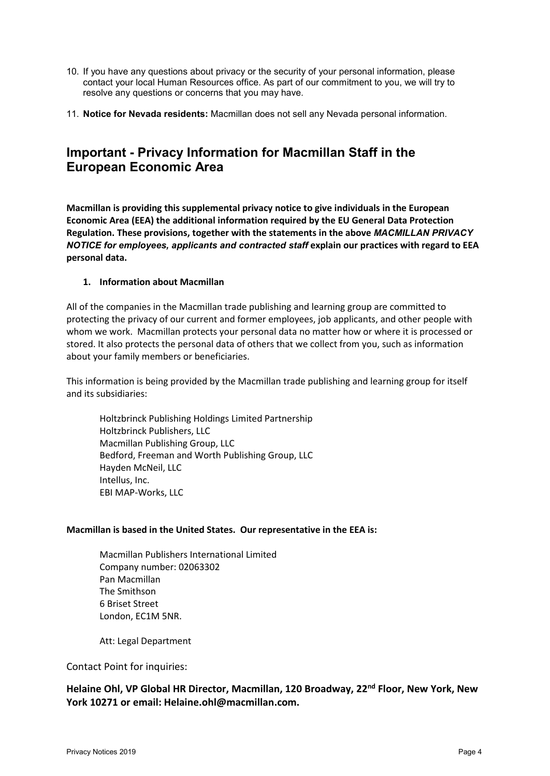- 10. If you have any questions about privacy or the security of your personal information, please contact your local Human Resources office. As part of our commitment to you, we will try to resolve any questions or concerns that you may have.
- 11. **Notice for Nevada residents:** Macmillan does not sell any Nevada personal information.

## <span id="page-3-0"></span>**Important - Privacy Information for Macmillan Staff in the European Economic Area**

**Macmillan is providing this supplemental privacy notice to give individuals in the European Economic Area (EEA) the additional information required by the EU General Data Protection Regulation. These provisions, together with the statements in the above** *MACMILLAN PRIVACY NOTICE for employees, applicants and contracted staff* **explain our practices with regard to EEA personal data.**

#### **1. Information about Macmillan**

All of the companies in the Macmillan trade publishing and learning group are committed to protecting the privacy of our current and former employees, job applicants, and other people with whom we work. Macmillan protects your personal data no matter how or where it is processed or stored. It also protects the personal data of others that we collect from you, such as information about your family members or beneficiaries.

This information is being provided by the Macmillan trade publishing and learning group for itself and its subsidiaries:

Holtzbrinck Publishing Holdings Limited Partnership Holtzbrinck Publishers, LLC Macmillan Publishing Group, LLC Bedford, Freeman and Worth Publishing Group, LLC Hayden McNeil, LLC Intellus, Inc. EBI MAP-Works, LLC

#### **Macmillan is based in the United States. Our representative in the EEA is:**

Macmillan Publishers International Limited Company number: 02063302 Pan Macmillan The Smithson 6 Briset Street London, EC1M 5NR.

Att: Legal Department

Contact Point for inquiries:

**Helaine Ohl, VP Global HR Director, Macmillan, 120 Broadway, 22nd Floor, New York, New York 10271 or email: Helaine.ohl@macmillan.com.**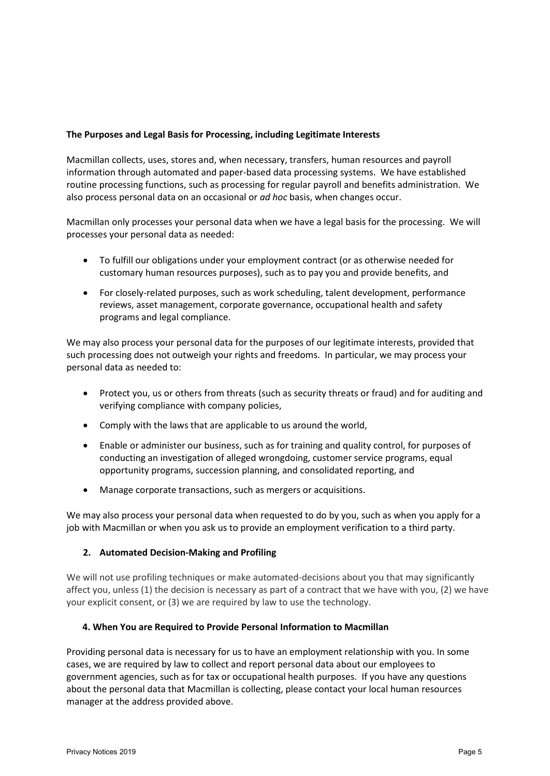### **The Purposes and Legal Basis for Processing, including Legitimate Interests**

Macmillan collects, uses, stores and, when necessary, transfers, human resources and payroll information through automated and paper-based data processing systems. We have established routine processing functions, such as processing for regular payroll and benefits administration. We also process personal data on an occasional or *ad hoc* basis, when changes occur.

Macmillan only processes your personal data when we have a legal basis for the processing. We will processes your personal data as needed:

- To fulfill our obligations under your employment contract (or as otherwise needed for customary human resources purposes), such as to pay you and provide benefits, and
- For closely-related purposes, such as work scheduling, talent development, performance reviews, asset management, corporate governance, occupational health and safety programs and legal compliance.

We may also process your personal data for the purposes of our legitimate interests, provided that such processing does not outweigh your rights and freedoms. In particular, we may process your personal data as needed to:

- Protect you, us or others from threats (such as security threats or fraud) and for auditing and verifying compliance with company policies,
- Comply with the laws that are applicable to us around the world,
- Enable or administer our business, such as for training and quality control, for purposes of conducting an investigation of alleged wrongdoing, customer service programs, equal opportunity programs, succession planning, and consolidated reporting, and
- Manage corporate transactions, such as mergers or acquisitions.

We may also process your personal data when requested to do by you, such as when you apply for a job with Macmillan or when you ask us to provide an employment verification to a third party.

### **2. Automated Decision-Making and Profiling**

We will not use profiling techniques or make automated-decisions about you that may significantly affect you, unless (1) the decision is necessary as part of a contract that we have with you, (2) we have your explicit consent, or (3) we are required by law to use the technology.

#### **4. When You are Required to Provide Personal Information to Macmillan**

Providing personal data is necessary for us to have an employment relationship with you. In some cases, we are required by law to collect and report personal data about our employees to government agencies, such as for tax or occupational health purposes. If you have any questions about the personal data that Macmillan is collecting, please contact your local human resources manager at the address provided above.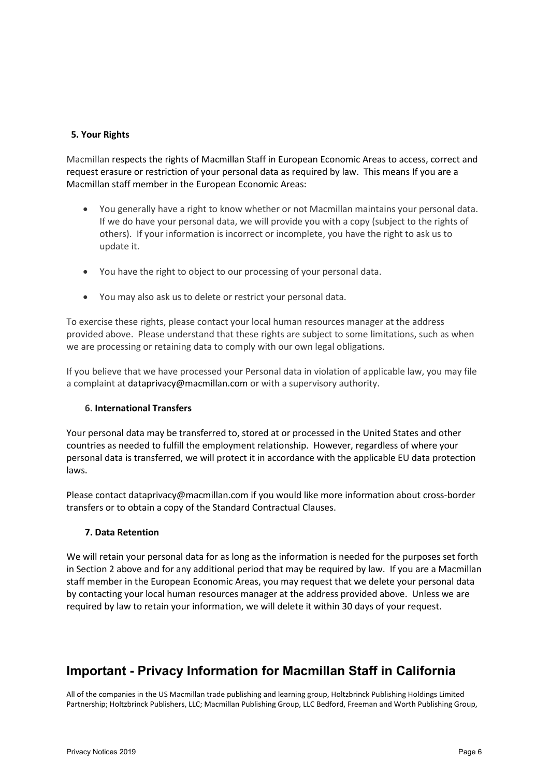### **5. Your Rights**

Macmillan respects the rights of Macmillan Staff in European Economic Areas to access, correct and request erasure or restriction of your personal data as required by law. This means If you are a Macmillan staff member in the European Economic Areas:

- You generally have a right to know whether or not Macmillan maintains your personal data. If we do have your personal data, we will provide you with a copy (subject to the rights of others). If your information is incorrect or incomplete, you have the right to ask us to update it.
- You have the right to object to our processing of your personal data.
- You may also ask us to delete or restrict your personal data.

To exercise these rights, please contact your local human resources manager at the address provided above. Please understand that these rights are subject to some limitations, such as when we are processing or retaining data to comply with our own legal obligations.

If you believe that we have processed your Personal data in violation of applicable law, you may file a complaint at dataprivacy@macmillan.com or with a supervisory authority.

#### **6. International Transfers**

Your personal data may be transferred to, stored at or processed in the United States and other countries as needed to fulfill the employment relationship. However, regardless of where your personal data is transferred, we will protect it in accordance with the applicable EU data protection laws.

Please contact dataprivacy@macmillan.com if you would like more information about cross-border transfers or to obtain a copy of the Standard Contractual Clauses.

#### **7. Data Retention**

We will retain your personal data for as long as the information is needed for the purposes set forth in Section 2 above and for any additional period that may be required by law. If you are a Macmillan staff member in the European Economic Areas, you may request that we delete your personal data by contacting your local human resources manager at the address provided above. Unless we are required by law to retain your information, we will delete it within 30 days of your request.

# <span id="page-5-0"></span>**Important - Privacy Information for Macmillan Staff in California**

All of the companies in the US Macmillan trade publishing and learning group, Holtzbrinck Publishing Holdings Limited Partnership; Holtzbrinck Publishers, LLC; Macmillan Publishing Group, LLC Bedford, Freeman and Worth Publishing Group,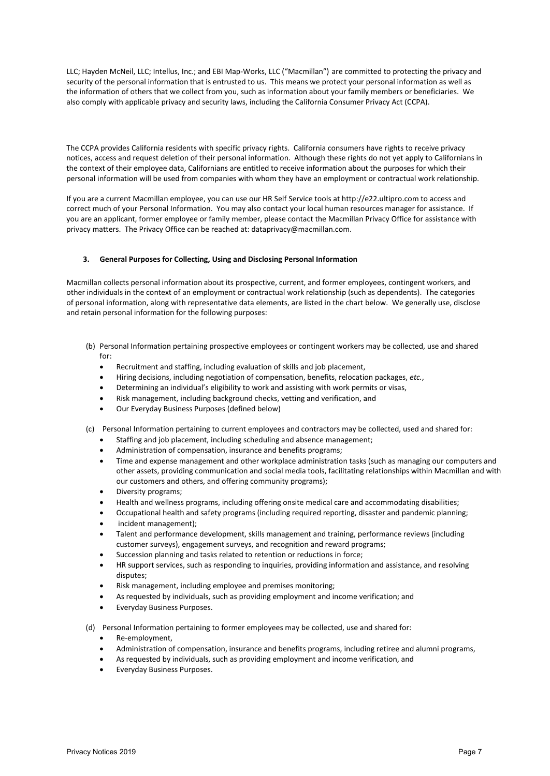LLC; Hayden McNeil, LLC; Intellus, Inc.; and EBI Map-Works, LLC ("Macmillan") are committed to protecting the privacy and security of the personal information that is entrusted to us. This means we protect your personal information as well as the information of others that we collect from you, such as information about your family members or beneficiaries. We also comply with applicable privacy and security laws, including the California Consumer Privacy Act (CCPA).

The CCPA provides California residents with specific privacy rights. California consumers have rights to receive privacy notices, access and request deletion of their personal information. Although these rights do not yet apply to Californians in the context of their employee data, Californians are entitled to receive information about the purposes for which their personal information will be used from companies with whom they have an employment or contractual work relationship.

If you are a current Macmillan employee, you can use our HR Self Service tools at http://e22.ultipro.com to access and correct much of your Personal Information. You may also contact your local human resources manager for assistance. If you are an applicant, former employee or family member, please contact the Macmillan Privacy Office for assistance with privacy matters. The Privacy Office can be reached at: dataprivacy@macmillan.com.

#### **3. General Purposes for Collecting, Using and Disclosing Personal Information**

Macmillan collects personal information about its prospective, current, and former employees, contingent workers, and other individuals in the context of an employment or contractual work relationship (such as dependents). The categories of personal information, along with representative data elements, are listed in the chart below. We generally use, disclose and retain personal information for the following purposes:

- (b) Personal Information pertaining prospective employees or contingent workers may be collected, use and shared for:
	- Recruitment and staffing, including evaluation of skills and job placement,
	- Hiring decisions, including negotiation of compensation, benefits, relocation packages, *etc.*,
	- Determining an individual's eligibility to work and assisting with work permits or visas,
	- Risk management, including background checks, vetting and verification, and
	- Our Everyday Business Purposes (defined below)
- (c) Personal Information pertaining to current employees and contractors may be collected, used and shared for:
	- Staffing and job placement, including scheduling and absence management;
	- Administration of compensation, insurance and benefits programs:
	- Time and expense management and other workplace administration tasks (such as managing our computers and other assets, providing communication and social media tools, facilitating relationships within Macmillan and with our customers and others, and offering community programs);
	- Diversity programs;
	- Health and wellness programs, including offering onsite medical care and accommodating disabilities;
	- Occupational health and safety programs (including required reporting, disaster and pandemic planning;
	- incident management);
	- Talent and performance development, skills management and training, performance reviews (including customer surveys), engagement surveys, and recognition and reward programs;
	- Succession planning and tasks related to retention or reductions in force;
	- HR support services, such as responding to inquiries, providing information and assistance, and resolving disputes;
	- Risk management, including employee and premises monitoring;
	- As requested by individuals, such as providing employment and income verification; and
	- Everyday Business Purposes.

(d) Personal Information pertaining to former employees may be collected, use and shared for:

- Re-employment,
- Administration of compensation, insurance and benefits programs, including retiree and alumni programs,
- As requested by individuals, such as providing employment and income verification, and
- Everyday Business Purposes.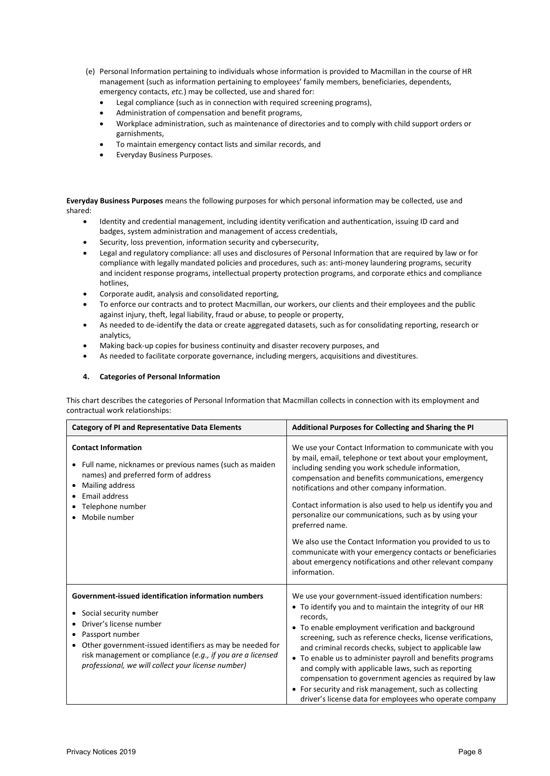- (e) Personal Information pertaining to individuals whose information is provided to Macmillan in the course of HR management (such as information pertaining to employees' family members, beneficiaries, dependents, emergency contacts, *etc.*) may be collected, use and shared for:
	- Legal compliance (such as in connection with required screening programs),
	- Administration of compensation and benefit programs,
	- Workplace administration, such as maintenance of directories and to comply with child support orders or garnishments,
	- To maintain emergency contact lists and similar records, and
	- Everyday Business Purposes.

**Everyday Business Purposes** means the following purposes for which personal information may be collected, use and shared:

- Identity and credential management, including identity verification and authentication, issuing ID card and badges, system administration and management of access credentials,
- Security, loss prevention, information security and cybersecurity,
- Legal and regulatory compliance: all uses and disclosures of Personal Information that are required by law or for compliance with legally mandated policies and procedures, such as: anti-money laundering programs, security and incident response programs, intellectual property protection programs, and corporate ethics and compliance hotlines,
- Corporate audit, analysis and consolidated reporting,
- To enforce our contracts and to protect Macmillan, our workers, our clients and their employees and the public against injury, theft, legal liability, fraud or abuse, to people or property,
- As needed to de-identify the data or create aggregated datasets, such as for consolidating reporting, research or analytics,
- Making back-up copies for business continuity and disaster recovery purposes, and
- As needed to facilitate corporate governance, including mergers, acquisitions and divestitures.

#### **4. Categories of Personal Information**

This chart describes the categories of Personal Information that Macmillan collects in connection with its employment and contractual work relationships:

| <b>Category of PI and Representative Data Elements</b>                                                                                                                                                                                                                                                            | Additional Purposes for Collecting and Sharing the PI                                                                                                                                                                                                                                                                                                                                                                                                                                                                                                                                                                            |
|-------------------------------------------------------------------------------------------------------------------------------------------------------------------------------------------------------------------------------------------------------------------------------------------------------------------|----------------------------------------------------------------------------------------------------------------------------------------------------------------------------------------------------------------------------------------------------------------------------------------------------------------------------------------------------------------------------------------------------------------------------------------------------------------------------------------------------------------------------------------------------------------------------------------------------------------------------------|
| <b>Contact Information</b><br>• Full name, nicknames or previous names (such as maiden<br>names) and preferred form of address<br>Mailing address<br>Email address<br>Telephone number<br>Mobile number                                                                                                           | We use your Contact Information to communicate with you<br>by mail, email, telephone or text about your employment,<br>including sending you work schedule information,<br>compensation and benefits communications, emergency<br>notifications and other company information.<br>Contact information is also used to help us identify you and<br>personalize our communications, such as by using your<br>preferred name.<br>We also use the Contact Information you provided to us to<br>communicate with your emergency contacts or beneficiaries<br>about emergency notifications and other relevant company<br>information. |
| Government-issued identification information numbers<br>Social security number<br>٠<br>Driver's license number<br>Passport number<br>Other government-issued identifiers as may be needed for<br>risk management or compliance (e.g., if you are a licensed<br>professional, we will collect your license number) | We use your government-issued identification numbers:<br>• To identify you and to maintain the integrity of our HR<br>records.<br>• To enable employment verification and background<br>screening, such as reference checks, license verifications,<br>and criminal records checks, subject to applicable law<br>• To enable us to administer payroll and benefits programs<br>and comply with applicable laws, such as reporting<br>compensation to government agencies as required by law<br>For security and risk management, such as collecting<br>driver's license data for employees who operate company                   |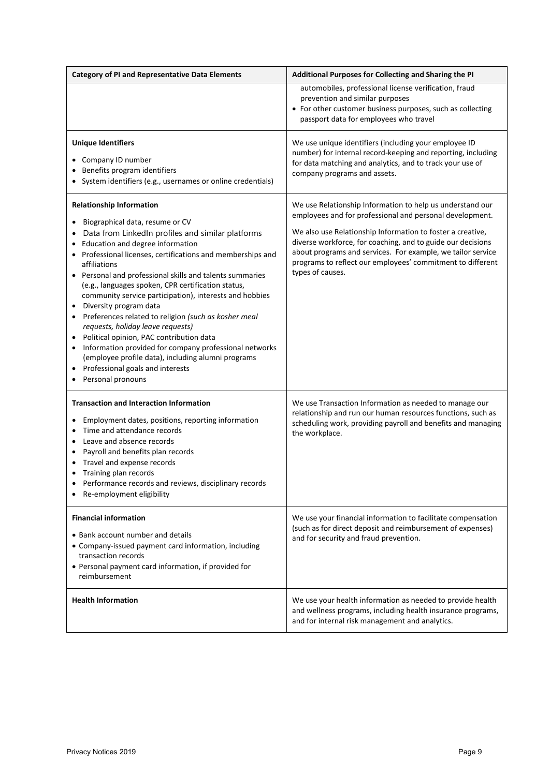| <b>Category of PI and Representative Data Elements</b>                                                                                                                                                                                                                                                                                                                                                                                                                                                                                                                                                                                                                                                                                                                                                   | Additional Purposes for Collecting and Sharing the PI                                                                                                                                                                                                                                                                                                                                               |
|----------------------------------------------------------------------------------------------------------------------------------------------------------------------------------------------------------------------------------------------------------------------------------------------------------------------------------------------------------------------------------------------------------------------------------------------------------------------------------------------------------------------------------------------------------------------------------------------------------------------------------------------------------------------------------------------------------------------------------------------------------------------------------------------------------|-----------------------------------------------------------------------------------------------------------------------------------------------------------------------------------------------------------------------------------------------------------------------------------------------------------------------------------------------------------------------------------------------------|
|                                                                                                                                                                                                                                                                                                                                                                                                                                                                                                                                                                                                                                                                                                                                                                                                          | automobiles, professional license verification, fraud<br>prevention and similar purposes<br>• For other customer business purposes, such as collecting<br>passport data for employees who travel                                                                                                                                                                                                    |
| <b>Unique Identifiers</b><br>Company ID number<br>Benefits program identifiers<br>System identifiers (e.g., usernames or online credentials)                                                                                                                                                                                                                                                                                                                                                                                                                                                                                                                                                                                                                                                             | We use unique identifiers (including your employee ID<br>number) for internal record-keeping and reporting, including<br>for data matching and analytics, and to track your use of<br>company programs and assets.                                                                                                                                                                                  |
| <b>Relationship Information</b><br>Biographical data, resume or CV<br>Data from LinkedIn profiles and similar platforms<br>$\bullet$<br>Education and degree information<br>Professional licenses, certifications and memberships and<br>affiliations<br>• Personal and professional skills and talents summaries<br>(e.g., languages spoken, CPR certification status,<br>community service participation), interests and hobbies<br>Diversity program data<br>$\bullet$<br>Preferences related to religion (such as kosher meal<br>requests, holiday leave requests)<br>Political opinion, PAC contribution data<br>Information provided for company professional networks<br>$\bullet$<br>(employee profile data), including alumni programs<br>Professional goals and interests<br>Personal pronouns | We use Relationship Information to help us understand our<br>employees and for professional and personal development.<br>We also use Relationship Information to foster a creative,<br>diverse workforce, for coaching, and to guide our decisions<br>about programs and services. For example, we tailor service<br>programs to reflect our employees' commitment to different<br>types of causes. |
| <b>Transaction and Interaction Information</b><br>Employment dates, positions, reporting information<br>$\bullet$<br>Time and attendance records<br>$\bullet$<br>Leave and absence records<br>$\bullet$<br>Payroll and benefits plan records<br>$\bullet$<br>Travel and expense records<br>Training plan records<br>٠<br>Performance records and reviews, disciplinary records<br>Re-employment eligibility                                                                                                                                                                                                                                                                                                                                                                                              | We use Transaction Information as needed to manage our<br>relationship and run our human resources functions, such as<br>scheduling work, providing payroll and benefits and managing<br>the workplace.                                                                                                                                                                                             |
| <b>Financial information</b><br>• Bank account number and details<br>• Company-issued payment card information, including<br>transaction records<br>• Personal payment card information, if provided for<br>reimbursement                                                                                                                                                                                                                                                                                                                                                                                                                                                                                                                                                                                | We use your financial information to facilitate compensation<br>(such as for direct deposit and reimbursement of expenses)<br>and for security and fraud prevention.                                                                                                                                                                                                                                |
| <b>Health Information</b>                                                                                                                                                                                                                                                                                                                                                                                                                                                                                                                                                                                                                                                                                                                                                                                | We use your health information as needed to provide health<br>and wellness programs, including health insurance programs,<br>and for internal risk management and analytics.                                                                                                                                                                                                                        |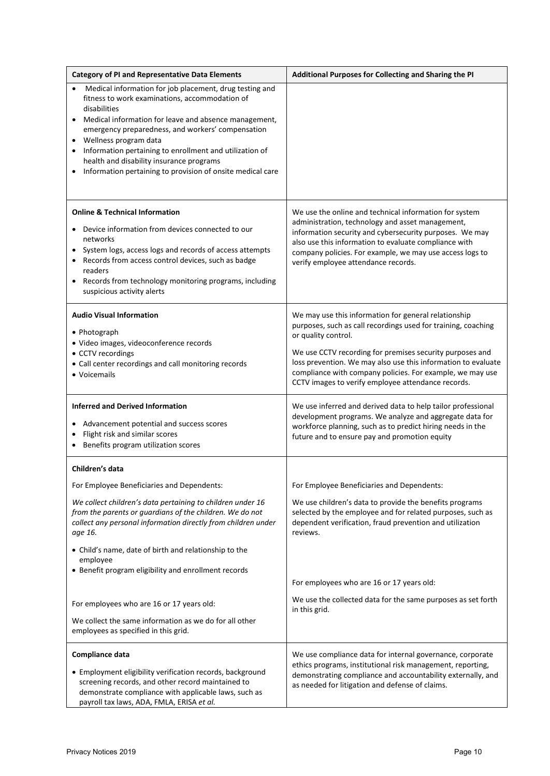| <b>Category of PI and Representative Data Elements</b>                                                                                                                                                                                                                                                                                                                                                                                                  | Additional Purposes for Collecting and Sharing the PI                                                                                                                                                                                                                                                                                                                                        |
|---------------------------------------------------------------------------------------------------------------------------------------------------------------------------------------------------------------------------------------------------------------------------------------------------------------------------------------------------------------------------------------------------------------------------------------------------------|----------------------------------------------------------------------------------------------------------------------------------------------------------------------------------------------------------------------------------------------------------------------------------------------------------------------------------------------------------------------------------------------|
| Medical information for job placement, drug testing and<br>fitness to work examinations, accommodation of<br>disabilities<br>Medical information for leave and absence management,<br>٠<br>emergency preparedness, and workers' compensation<br>Wellness program data<br>$\bullet$<br>Information pertaining to enrollment and utilization of<br>health and disability insurance programs<br>Information pertaining to provision of onsite medical care |                                                                                                                                                                                                                                                                                                                                                                                              |
| <b>Online &amp; Technical Information</b><br>Device information from devices connected to our<br>networks<br>System logs, access logs and records of access attempts<br>Records from access control devices, such as badge<br>readers<br>Records from technology monitoring programs, including<br>suspicious activity alerts                                                                                                                           | We use the online and technical information for system<br>administration, technology and asset management,<br>information security and cybersecurity purposes. We may<br>also use this information to evaluate compliance with<br>company policies. For example, we may use access logs to<br>verify employee attendance records.                                                            |
| <b>Audio Visual Information</b><br>• Photograph<br>· Video images, videoconference records<br>• CCTV recordings<br>• Call center recordings and call monitoring records<br>• Voicemails                                                                                                                                                                                                                                                                 | We may use this information for general relationship<br>purposes, such as call recordings used for training, coaching<br>or quality control.<br>We use CCTV recording for premises security purposes and<br>loss prevention. We may also use this information to evaluate<br>compliance with company policies. For example, we may use<br>CCTV images to verify employee attendance records. |
| <b>Inferred and Derived Information</b><br>Advancement potential and success scores<br>Flight risk and similar scores<br>Benefits program utilization scores                                                                                                                                                                                                                                                                                            | We use inferred and derived data to help tailor professional<br>development programs. We analyze and aggregate data for<br>workforce planning, such as to predict hiring needs in the<br>future and to ensure pay and promotion equity                                                                                                                                                       |
| Children's data                                                                                                                                                                                                                                                                                                                                                                                                                                         |                                                                                                                                                                                                                                                                                                                                                                                              |
| For Employee Beneficiaries and Dependents:                                                                                                                                                                                                                                                                                                                                                                                                              | For Employee Beneficiaries and Dependents:                                                                                                                                                                                                                                                                                                                                                   |
| We collect children's data pertaining to children under 16<br>from the parents or guardians of the children. We do not<br>collect any personal information directly from children under<br>age 16.                                                                                                                                                                                                                                                      | We use children's data to provide the benefits programs<br>selected by the employee and for related purposes, such as<br>dependent verification, fraud prevention and utilization<br>reviews.                                                                                                                                                                                                |
| • Child's name, date of birth and relationship to the<br>employee<br>• Benefit program eligibility and enrollment records                                                                                                                                                                                                                                                                                                                               |                                                                                                                                                                                                                                                                                                                                                                                              |
|                                                                                                                                                                                                                                                                                                                                                                                                                                                         | For employees who are 16 or 17 years old:                                                                                                                                                                                                                                                                                                                                                    |
| For employees who are 16 or 17 years old:                                                                                                                                                                                                                                                                                                                                                                                                               | We use the collected data for the same purposes as set forth                                                                                                                                                                                                                                                                                                                                 |
| We collect the same information as we do for all other<br>employees as specified in this grid.                                                                                                                                                                                                                                                                                                                                                          | in this grid.                                                                                                                                                                                                                                                                                                                                                                                |
| Compliance data<br>• Employment eligibility verification records, background<br>screening records, and other record maintained to<br>demonstrate compliance with applicable laws, such as<br>payroll tax laws, ADA, FMLA, ERISA et al.                                                                                                                                                                                                                  | We use compliance data for internal governance, corporate<br>ethics programs, institutional risk management, reporting,<br>demonstrating compliance and accountability externally, and<br>as needed for litigation and defense of claims.                                                                                                                                                    |